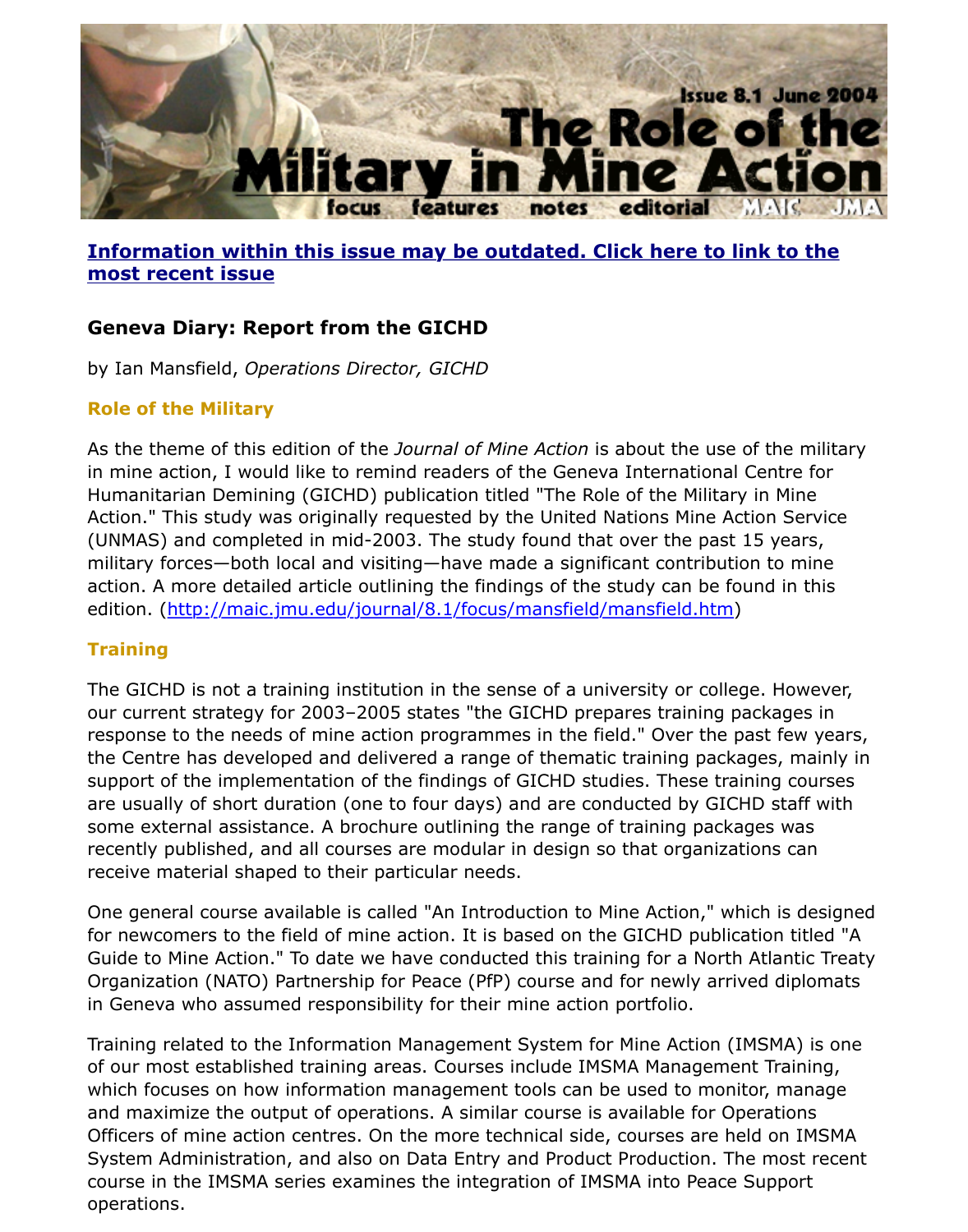

## **Information within this issue may be outdated. Click here to link to the most recent issue**

# **Geneva Diary: Report from the GICHD**

by Ian Mansfield, *Operations Director, GICHD*

#### **Role of the Military**

[As the theme of this edition of the](http://www.jmu.edu/cisr/journal/current.shtml) *Journal of Mine Action* is about the use of the mi in mine action, I would like to remind readers of the Geneva International Centre for Humanitarian Demining (GICHD) publication titled "The Role of the Military in Mine Action." This study was originally requested by the United Nations Mine Action Serv (UNMAS) and completed in mid-2003. The study found that over the past 15 years, military forces—both local and visiting—have made a significant contribution to min action. A more detailed article outlining the findings of the study can be found in th edition. (http://maic.jmu.edu/journal/8.1/focus/mansfield/mansfield.htm)

### **Training**

The GICHD is not a training institution in the sense of a university or college. Howe our current strategy for 2003-2005 states "the GICHD prepares training packages i response to the needs of mine action programmes in the field." Over the past few y the Centre has developed and delivered a range of thematic training packages, mai support [of the implementation of the findings of GICHD studies. These tra](http://maic.jmu.edu/journal/8.1/focus/mansfield/mansfield.htm)ining cour are usually of short duration (one to four days) and are conducted by GICHD staff  $v$ some external assistance. A brochure outlining the range of training packages was recently published, and all courses are modular in design so that organizations can receive material shaped to their particular needs.

One general course available is called "An Introduction to Mine Action," which is dest for newcomers to the field of mine action. It is based on the GICHD publication title Guide to Mine Action." To date we have conducted this training for a North Atlantic Organization (NATO) Partnership for Peace (PfP) course and for newly arrived diplor in Geneva who assumed responsibility for their mine action portfolio.

Training related to the Information Management System for Mine Action (IMSMA) is of our most established training areas. Courses include IMSMA Management Trainin which focuses on how information management tools can be used to monitor, mana and maximize the output of operations. A similar course is available for Operations Officers of mine action centres. On the more technical side, courses are held on IMS System Administration, and also on Data Entry and Product Production. The most re course in the IMSMA series examines the integration of IMSMA into Peace Support operations.